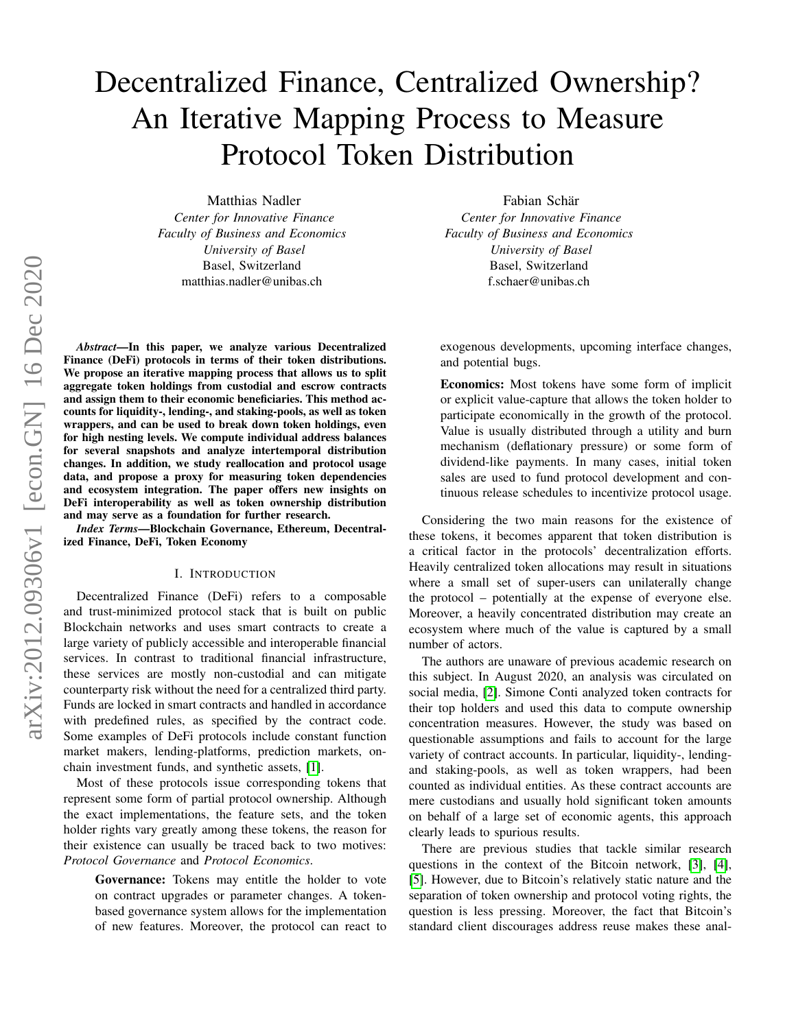# Decentralized Finance, Centralized Ownership? An Iterative Mapping Process to Measure Protocol Token Distribution

Matthias Nadler *Center for Innovative Finance Faculty of Business and Economics University of Basel* Basel, Switzerland matthias.nadler@unibas.ch

*Abstract*—In this paper, we analyze various Decentralized Finance (DeFi) protocols in terms of their token distributions. We propose an iterative mapping process that allows us to split aggregate token holdings from custodial and escrow contracts and assign them to their economic beneficiaries. This method accounts for liquidity-, lending-, and staking-pools, as well as token wrappers, and can be used to break down token holdings, even for high nesting levels. We compute individual address balances for several snapshots and analyze intertemporal distribution changes. In addition, we study reallocation and protocol usage data, and propose a proxy for measuring token dependencies and ecosystem integration. The paper offers new insights on DeFi interoperability as well as token ownership distribution and may serve as a foundation for further research.

*Index Terms*—Blockchain Governance, Ethereum, Decentralized Finance, DeFi, Token Economy

#### I. INTRODUCTION

Decentralized Finance (DeFi) refers to a composable and trust-minimized protocol stack that is built on public Blockchain networks and uses smart contracts to create a large variety of publicly accessible and interoperable financial services. In contrast to traditional financial infrastructure, these services are mostly non-custodial and can mitigate counterparty risk without the need for a centralized third party. Funds are locked in smart contracts and handled in accordance with predefined rules, as specified by the contract code. Some examples of DeFi protocols include constant function market makers, lending-platforms, prediction markets, onchain investment funds, and synthetic assets, [\[1\]](#page-7-0).

Most of these protocols issue corresponding tokens that represent some form of partial protocol ownership. Although the exact implementations, the feature sets, and the token holder rights vary greatly among these tokens, the reason for their existence can usually be traced back to two motives: *Protocol Governance* and *Protocol Economics*.

Governance: Tokens may entitle the holder to vote on contract upgrades or parameter changes. A tokenbased governance system allows for the implementation of new features. Moreover, the protocol can react to

Fabian Schär *Center for Innovative Finance Faculty of Business and Economics University of Basel* Basel, Switzerland f.schaer@unibas.ch

exogenous developments, upcoming interface changes, and potential bugs.

Economics: Most tokens have some form of implicit or explicit value-capture that allows the token holder to participate economically in the growth of the protocol. Value is usually distributed through a utility and burn mechanism (deflationary pressure) or some form of dividend-like payments. In many cases, initial token sales are used to fund protocol development and continuous release schedules to incentivize protocol usage.

Considering the two main reasons for the existence of these tokens, it becomes apparent that token distribution is a critical factor in the protocols' decentralization efforts. Heavily centralized token allocations may result in situations where a small set of super-users can unilaterally change the protocol – potentially at the expense of everyone else. Moreover, a heavily concentrated distribution may create an ecosystem where much of the value is captured by a small number of actors.

The authors are unaware of previous academic research on this subject. In August 2020, an analysis was circulated on social media, [\[2\]](#page-7-1). Simone Conti analyzed token contracts for their top holders and used this data to compute ownership concentration measures. However, the study was based on questionable assumptions and fails to account for the large variety of contract accounts. In particular, liquidity-, lendingand staking-pools, as well as token wrappers, had been counted as individual entities. As these contract accounts are mere custodians and usually hold significant token amounts on behalf of a large set of economic agents, this approach clearly leads to spurious results.

There are previous studies that tackle similar research questions in the context of the Bitcoin network, [\[3\]](#page-7-2), [\[4\]](#page-7-3), [\[5\]](#page-7-4). However, due to Bitcoin's relatively static nature and the separation of token ownership and protocol voting rights, the question is less pressing. Moreover, the fact that Bitcoin's standard client discourages address reuse makes these anal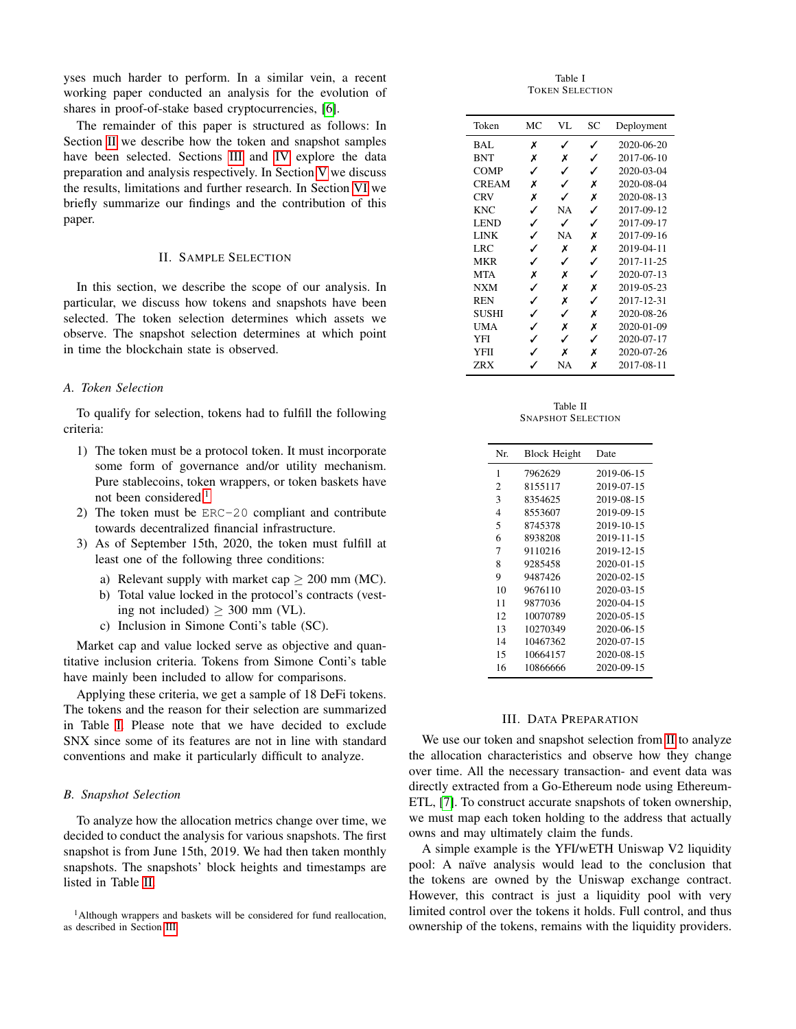yses much harder to perform. In a similar vein, a recent working paper conducted an analysis for the evolution of shares in proof-of-stake based cryptocurrencies, [\[6\]](#page-7-5).

The remainder of this paper is structured as follows: In Section [II](#page-1-0) we describe how the token and snapshot samples have been selected. Sections [III](#page-1-1) and [IV](#page-3-0) explore the data preparation and analysis respectively. In Section [V](#page-4-0) we discuss the results, limitations and further research. In Section [VI](#page-7-6) we briefly summarize our findings and the contribution of this paper.

## II. SAMPLE SELECTION

<span id="page-1-0"></span>In this section, we describe the scope of our analysis. In particular, we discuss how tokens and snapshots have been selected. The token selection determines which assets we observe. The snapshot selection determines at which point in time the blockchain state is observed.

## *A. Token Selection*

To qualify for selection, tokens had to fulfill the following criteria:

- 1) The token must be a protocol token. It must incorporate some form of governance and/or utility mechanism. Pure stablecoins, token wrappers, or token baskets have not been considered.<sup>[1](#page-1-2)</sup>
- 2) The token must be ERC-20 compliant and contribute towards decentralized financial infrastructure.
- 3) As of September 15th, 2020, the token must fulfill at least one of the following three conditions:
	- a) Relevant supply with market cap  $\geq$  200 mm (MC).
	- b) Total value locked in the protocol's contracts (vesting not included)  $\geq$  300 mm (VL).
	- c) Inclusion in Simone Conti's table (SC).

Market cap and value locked serve as objective and quantitative inclusion criteria. Tokens from Simone Conti's table have mainly been included to allow for comparisons.

Applying these criteria, we get a sample of 18 DeFi tokens. The tokens and the reason for their selection are summarized in Table [I.](#page-1-3) Please note that we have decided to exclude SNX since some of its features are not in line with standard conventions and make it particularly difficult to analyze.

#### *B. Snapshot Selection*

To analyze how the allocation metrics change over time, we decided to conduct the analysis for various snapshots. The first snapshot is from June 15th, 2019. We had then taken monthly snapshots. The snapshots' block heights and timestamps are listed in Table [II.](#page-1-4)

<span id="page-1-2"></span><sup>1</sup>Although wrappers and baskets will be considered for fund reallocation, as described in Section [III.](#page-1-1)

Table I TOKEN SELECTION

<span id="page-1-3"></span>

| Token        | МC | VL | SC | Deployment |
|--------------|----|----|----|------------|
| BAL          | x  | ✓  | ✓  | 2020-06-20 |
| <b>BNT</b>   | Х  | х  | ℐ  | 2017-06-10 |
| <b>COMP</b>  | ✓  | ✓  | ✓  | 2020-03-04 |
| <b>CREAM</b> | Х  | ✓  | х  | 2020-08-04 |
| <b>CRV</b>   | х  | ℐ  | х  | 2020-08-13 |
| <b>KNC</b>   | ✓  | NA | ✓  | 2017-09-12 |
| <b>LEND</b>  | ✓  | ✓  | J  | 2017-09-17 |
| LINK         | ✓  | NA | х  | 2017-09-16 |
| LRC          | J  | X  | Х  | 2019-04-11 |
| <b>MKR</b>   | ✓  | ✓  | ✓  | 2017-11-25 |
| <b>MTA</b>   | Х  | х  | ℐ  | 2020-07-13 |
| <b>NXM</b>   | ✓  | х  | х  | 2019-05-23 |
| <b>REN</b>   | ✓  | Х  | ℐ  | 2017-12-31 |
| SUSHI        | ✓  | ✓  | х  | 2020-08-26 |
| UMA          | ✓  | х  | х  | 2020-01-09 |
| YFI          | ✓  | J  | ✓  | 2020-07-17 |
| YFII         | ✓  | x  | х  | 2020-07-26 |
| ZRX          |    | NA | x  | 2017-08-11 |

Table II SNAPSHOT SELECTION

<span id="page-1-4"></span>

| Nr. | <b>Block Height</b> | Date             |
|-----|---------------------|------------------|
| 1   | 7962629             | 2019-06-15       |
| 2   | 8155117             | 2019-07-15       |
| 3   | 8354625             | 2019-08-15       |
| 4   | 8553607             | 2019-09-15       |
| 5   | 8745378             | 2019-10-15       |
| 6   | 8938208             | 2019-11-15       |
| 7   | 9110216             | 2019-12-15       |
| 8   | 9285458             | $2020 - 01 - 15$ |
| 9   | 9487426             | 2020-02-15       |
| 10  | 9676110             | 2020-03-15       |
| 11  | 9877036             | 2020-04-15       |
| 12  | 10070789            | 2020-05-15       |
| 13  | 10270349            | 2020-06-15       |
| 14  | 10467362            | 2020-07-15       |
| 15  | 10664157            | 2020-08-15       |
| 16  | 10866666            | 2020-09-15       |
|     |                     |                  |

#### III. DATA PREPARATION

<span id="page-1-1"></span>We use our token and snapshot selection from [II](#page-1-0) to analyze the allocation characteristics and observe how they change over time. All the necessary transaction- and event data was directly extracted from a Go-Ethereum node using Ethereum-ETL, [\[7\]](#page-7-7). To construct accurate snapshots of token ownership, we must map each token holding to the address that actually owns and may ultimately claim the funds.

A simple example is the YFI/wETH Uniswap V2 liquidity pool: A naïve analysis would lead to the conclusion that the tokens are owned by the Uniswap exchange contract. However, this contract is just a liquidity pool with very limited control over the tokens it holds. Full control, and thus ownership of the tokens, remains with the liquidity providers.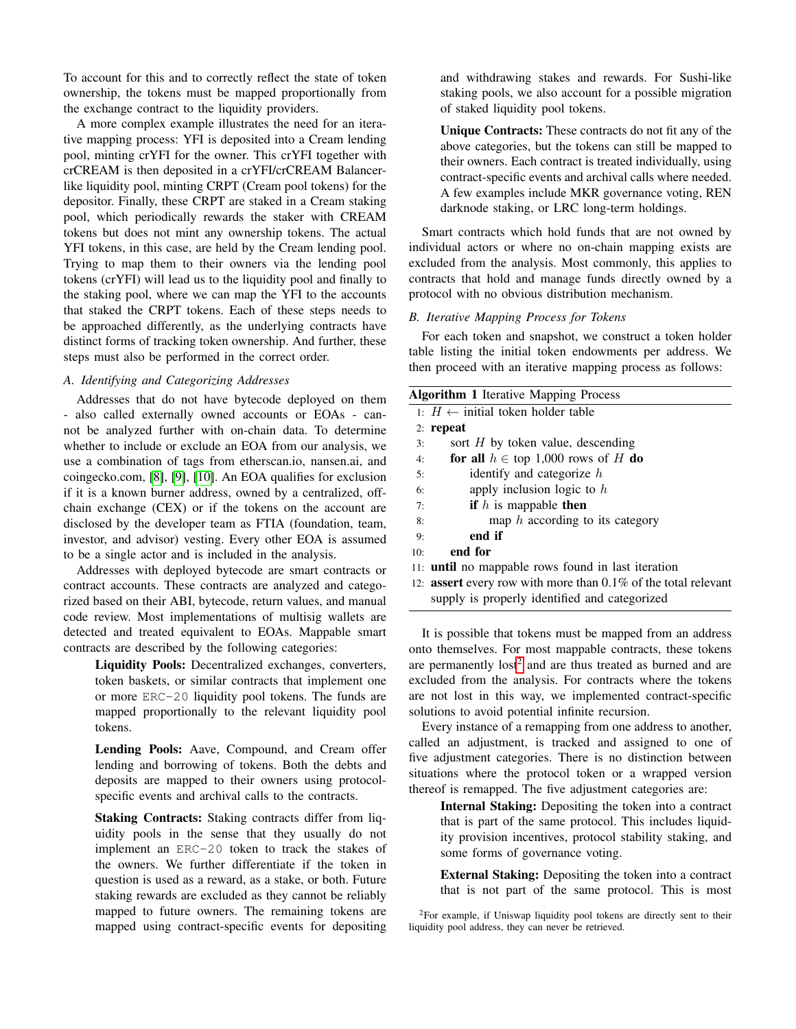To account for this and to correctly reflect the state of token ownership, the tokens must be mapped proportionally from the exchange contract to the liquidity providers.

A more complex example illustrates the need for an iterative mapping process: YFI is deposited into a Cream lending pool, minting crYFI for the owner. This crYFI together with crCREAM is then deposited in a crYFI/crCREAM Balancerlike liquidity pool, minting CRPT (Cream pool tokens) for the depositor. Finally, these CRPT are staked in a Cream staking pool, which periodically rewards the staker with CREAM tokens but does not mint any ownership tokens. The actual YFI tokens, in this case, are held by the Cream lending pool. Trying to map them to their owners via the lending pool tokens (crYFI) will lead us to the liquidity pool and finally to the staking pool, where we can map the YFI to the accounts that staked the CRPT tokens. Each of these steps needs to be approached differently, as the underlying contracts have distinct forms of tracking token ownership. And further, these steps must also be performed in the correct order.

# <span id="page-2-1"></span>*A. Identifying and Categorizing Addresses*

Addresses that do not have bytecode deployed on them - also called externally owned accounts or EOAs - cannot be analyzed further with on-chain data. To determine whether to include or exclude an EOA from our analysis, we use a combination of tags from etherscan.io, nansen.ai, and coingecko.com, [\[8\]](#page-7-8), [\[9\]](#page-7-9), [\[10\]](#page-7-10). An EOA qualifies for exclusion if it is a known burner address, owned by a centralized, offchain exchange (CEX) or if the tokens on the account are disclosed by the developer team as FTIA (foundation, team, investor, and advisor) vesting. Every other EOA is assumed to be a single actor and is included in the analysis.

Addresses with deployed bytecode are smart contracts or contract accounts. These contracts are analyzed and categorized based on their ABI, bytecode, return values, and manual code review. Most implementations of multisig wallets are detected and treated equivalent to EOAs. Mappable smart contracts are described by the following categories:

Liquidity Pools: Decentralized exchanges, converters, token baskets, or similar contracts that implement one or more ERC-20 liquidity pool tokens. The funds are mapped proportionally to the relevant liquidity pool tokens.

Lending Pools: Aave, Compound, and Cream offer lending and borrowing of tokens. Both the debts and deposits are mapped to their owners using protocolspecific events and archival calls to the contracts.

Staking Contracts: Staking contracts differ from liquidity pools in the sense that they usually do not implement an ERC-20 token to track the stakes of the owners. We further differentiate if the token in question is used as a reward, as a stake, or both. Future staking rewards are excluded as they cannot be reliably mapped to future owners. The remaining tokens are mapped using contract-specific events for depositing

and withdrawing stakes and rewards. For Sushi-like staking pools, we also account for a possible migration of staked liquidity pool tokens.

Unique Contracts: These contracts do not fit any of the above categories, but the tokens can still be mapped to their owners. Each contract is treated individually, using contract-specific events and archival calls where needed. A few examples include MKR governance voting, REN darknode staking, or LRC long-term holdings.

Smart contracts which hold funds that are not owned by individual actors or where no on-chain mapping exists are excluded from the analysis. Most commonly, this applies to contracts that hold and manage funds directly owned by a protocol with no obvious distribution mechanism.

# *B. Iterative Mapping Process for Tokens*

For each token and snapshot, we construct a token holder table listing the initial token endowments per address. We then proceed with an iterative mapping process as follows:

| <b>Algorithm 1</b> Iterative Mapping Process |                                                                          |  |  |  |  |  |  |  |
|----------------------------------------------|--------------------------------------------------------------------------|--|--|--|--|--|--|--|
|                                              | 1: $H$ ← initial token holder table                                      |  |  |  |  |  |  |  |
|                                              | $2:$ repeat                                                              |  |  |  |  |  |  |  |
| 3:                                           | sort $H$ by token value, descending                                      |  |  |  |  |  |  |  |
| 4:                                           | for all $h \in \text{top } 1,000$ rows of H do                           |  |  |  |  |  |  |  |
| 5:                                           | identify and categorize $h$                                              |  |  |  |  |  |  |  |
| 6:                                           | apply inclusion logic to $h$                                             |  |  |  |  |  |  |  |
| 7:                                           | <b>if</b> $h$ is mappable <b>then</b>                                    |  |  |  |  |  |  |  |
| 8:                                           | map $h$ according to its category                                        |  |  |  |  |  |  |  |
| 9:                                           | end if                                                                   |  |  |  |  |  |  |  |
| 10:                                          | end for                                                                  |  |  |  |  |  |  |  |
|                                              | 11: <b>until</b> no mappable rows found in last iteration                |  |  |  |  |  |  |  |
|                                              | 12: <b>assert</b> every row with more than $0.1\%$ of the total relevant |  |  |  |  |  |  |  |

supply is properly identified and categorized

It is possible that tokens must be mapped from an address onto themselves. For most mappable contracts, these tokens are permanently  $\text{lost}^2$  $\text{lost}^2$  and are thus treated as burned and are excluded from the analysis. For contracts where the tokens are not lost in this way, we implemented contract-specific solutions to avoid potential infinite recursion.

Every instance of a remapping from one address to another, called an adjustment, is tracked and assigned to one of five adjustment categories. There is no distinction between situations where the protocol token or a wrapped version thereof is remapped. The five adjustment categories are:

Internal Staking: Depositing the token into a contract that is part of the same protocol. This includes liquidity provision incentives, protocol stability staking, and some forms of governance voting.

External Staking: Depositing the token into a contract that is not part of the same protocol. This is most

<span id="page-2-0"></span><sup>&</sup>lt;sup>2</sup>For example, if Uniswap liquidity pool tokens are directly sent to their liquidity pool address, they can never be retrieved.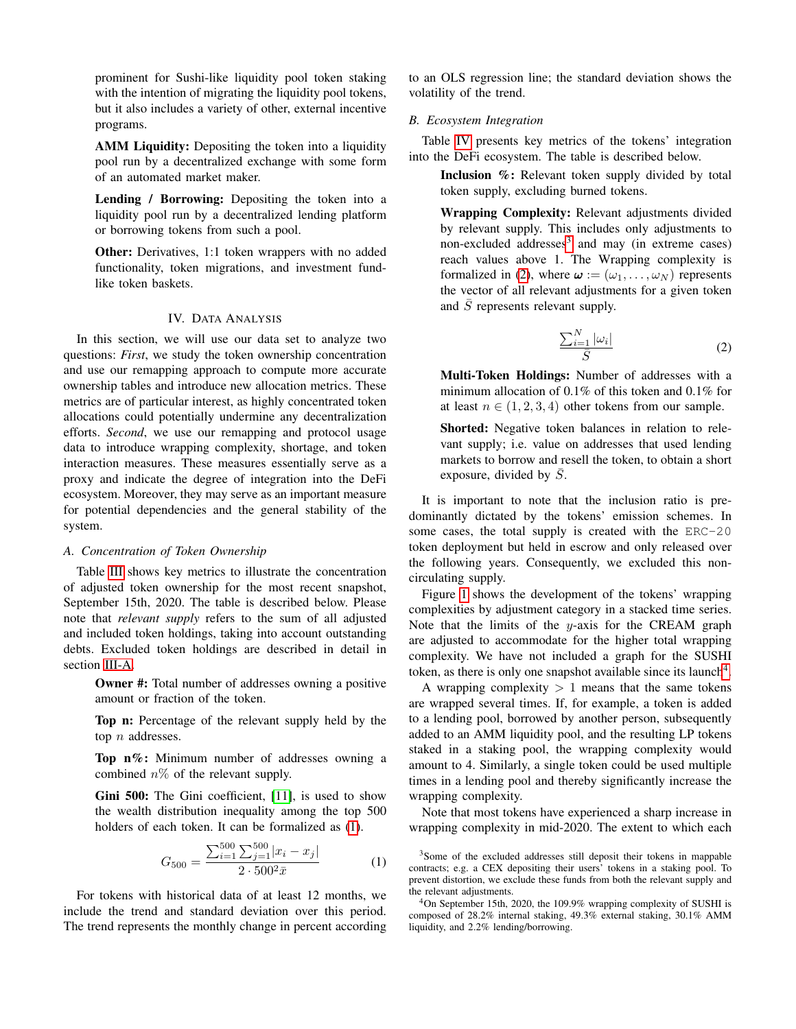prominent for Sushi-like liquidity pool token staking with the intention of migrating the liquidity pool tokens, but it also includes a variety of other, external incentive programs.

AMM Liquidity: Depositing the token into a liquidity pool run by a decentralized exchange with some form of an automated market maker.

Lending / Borrowing: Depositing the token into a liquidity pool run by a decentralized lending platform or borrowing tokens from such a pool.

Other: Derivatives, 1:1 token wrappers with no added functionality, token migrations, and investment fundlike token baskets.

## IV. DATA ANALYSIS

<span id="page-3-0"></span>In this section, we will use our data set to analyze two questions: *First*, we study the token ownership concentration and use our remapping approach to compute more accurate ownership tables and introduce new allocation metrics. These metrics are of particular interest, as highly concentrated token allocations could potentially undermine any decentralization efforts. *Second*, we use our remapping and protocol usage data to introduce wrapping complexity, shortage, and token interaction measures. These measures essentially serve as a proxy and indicate the degree of integration into the DeFi ecosystem. Moreover, they may serve as an important measure for potential dependencies and the general stability of the system.

## *A. Concentration of Token Ownership*

Table [III](#page-4-1) shows key metrics to illustrate the concentration of adjusted token ownership for the most recent snapshot, September 15th, 2020. The table is described below. Please note that *relevant supply* refers to the sum of all adjusted and included token holdings, taking into account outstanding debts. Excluded token holdings are described in detail in section [III-A.](#page-2-1)

Owner #: Total number of addresses owning a positive amount or fraction of the token.

Top n: Percentage of the relevant supply held by the top  $n$  addresses.

Top n%: Minimum number of addresses owning a combined  $n\%$  of the relevant supply.

Gini 500: The Gini coefficient, [\[11\]](#page-7-11), is used to show the wealth distribution inequality among the top 500 holders of each token. It can be formalized as [\(1\)](#page-3-1).

<span id="page-3-1"></span>
$$
G_{500} = \frac{\sum_{i=1}^{500} \sum_{j=1}^{500} |x_i - x_j|}{2 \cdot 500^2 \bar{x}} \tag{1}
$$

For tokens with historical data of at least 12 months, we include the trend and standard deviation over this period. The trend represents the monthly change in percent according to an OLS regression line; the standard deviation shows the volatility of the trend.

## *B. Ecosystem Integration*

Table [IV](#page-6-0) presents key metrics of the tokens' integration into the DeFi ecosystem. The table is described below.

Inclusion %: Relevant token supply divided by total token supply, excluding burned tokens.

Wrapping Complexity: Relevant adjustments divided by relevant supply. This includes only adjustments to non-excluded addresses<sup>[3](#page-3-2)</sup> and may (in extreme cases) reach values above 1. The Wrapping complexity is formalized in [\(2\)](#page-3-3), where  $\boldsymbol{\omega} := (\omega_1, \dots, \omega_N)$  represents the vector of all relevant adjustments for a given token and  $\overline{S}$  represents relevant supply.

<span id="page-3-3"></span>
$$
\frac{\sum_{i=1}^{N} |\omega_i|}{\bar{S}}
$$
 (2)

Multi-Token Holdings: Number of addresses with a minimum allocation of 0.1% of this token and 0.1% for at least  $n \in (1, 2, 3, 4)$  other tokens from our sample.

Shorted: Negative token balances in relation to relevant supply; i.e. value on addresses that used lending markets to borrow and resell the token, to obtain a short exposure, divided by  $\overline{S}$ .

It is important to note that the inclusion ratio is predominantly dictated by the tokens' emission schemes. In some cases, the total supply is created with the ERC-20 token deployment but held in escrow and only released over the following years. Consequently, we excluded this noncirculating supply.

Figure [1](#page-5-0) shows the development of the tokens' wrapping complexities by adjustment category in a stacked time series. Note that the limits of the  $y$ -axis for the CREAM graph are adjusted to accommodate for the higher total wrapping complexity. We have not included a graph for the SUSHI token, as there is only one snapshot available since its launch<sup>[4](#page-3-4)</sup>.

A wrapping complexity  $> 1$  means that the same tokens are wrapped several times. If, for example, a token is added to a lending pool, borrowed by another person, subsequently added to an AMM liquidity pool, and the resulting LP tokens staked in a staking pool, the wrapping complexity would amount to 4. Similarly, a single token could be used multiple times in a lending pool and thereby significantly increase the wrapping complexity.

Note that most tokens have experienced a sharp increase in wrapping complexity in mid-2020. The extent to which each

<span id="page-3-2"></span><sup>&</sup>lt;sup>3</sup>Some of the excluded addresses still deposit their tokens in mappable contracts; e.g. a CEX depositing their users' tokens in a staking pool. To prevent distortion, we exclude these funds from both the relevant supply and the relevant adjustments.

<span id="page-3-4"></span><sup>4</sup>On September 15th, 2020, the 109.9% wrapping complexity of SUSHI is composed of 28.2% internal staking, 49.3% external staking, 30.1% AMM liquidity, and 2.2% lending/borrowing.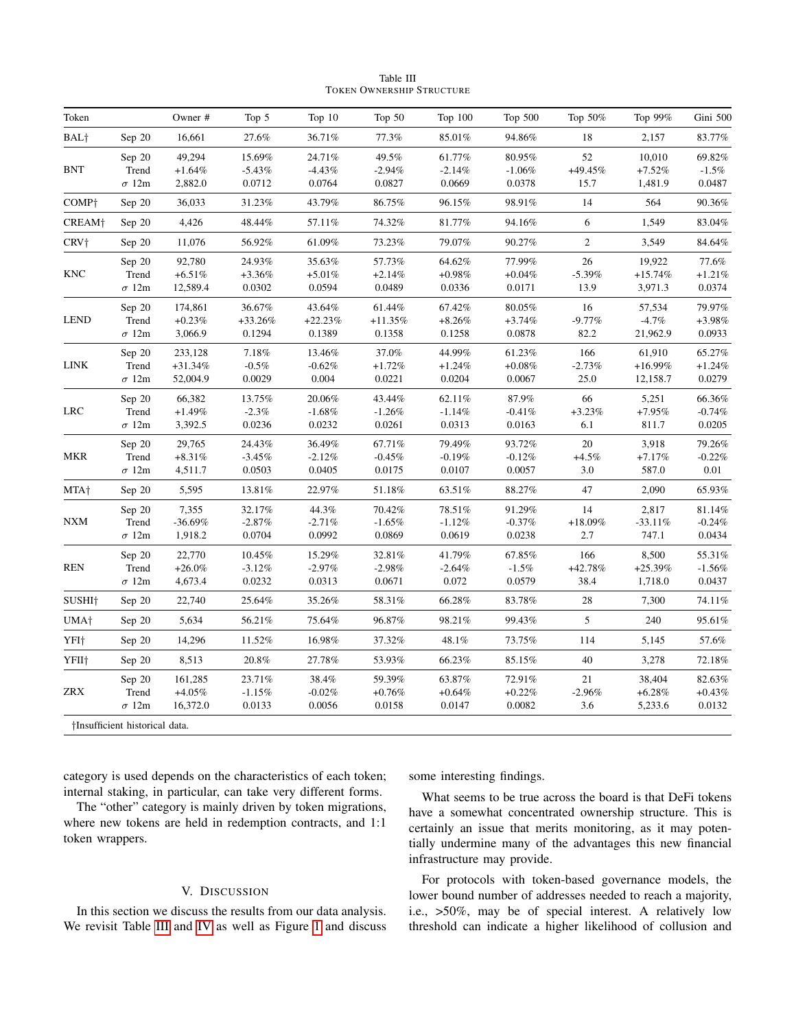| Table III |                           |  |  |  |  |  |  |  |  |
|-----------|---------------------------|--|--|--|--|--|--|--|--|
|           | TOKEN OWNERSHIP STRUCTURE |  |  |  |  |  |  |  |  |

<span id="page-4-1"></span>

| Token                   |                                 | Owner #                          | Top 5                         | Top $10$                       | Top $50$                      | Top 100                       | Top 500                       | Top 50%                    | Top 99%                         | Gini 500                      |
|-------------------------|---------------------------------|----------------------------------|-------------------------------|--------------------------------|-------------------------------|-------------------------------|-------------------------------|----------------------------|---------------------------------|-------------------------------|
| BAL <sup>+</sup>        | Sep 20                          | 16,661                           | 27.6%                         | 36.71%                         | 77.3%                         | 85.01%                        | 94.86%                        | 18                         | 2,157                           | 83.77%                        |
| <b>BNT</b>              | Sep 20<br>Trend<br>$\sigma$ 12m | 49,294<br>$+1.64%$<br>2,882.0    | 15.69%<br>$-5.43%$<br>0.0712  | 24.71%<br>$-4.43%$<br>0.0764   | 49.5%<br>$-2.94%$<br>0.0827   | 61.77%<br>$-2.14%$<br>0.0669  | 80.95%<br>$-1.06%$<br>0.0378  | 52<br>$+49.45%$<br>15.7    | 10,010<br>$+7.52%$<br>1,481.9   | 69.82%<br>$-1.5%$<br>0.0487   |
| COMP <sup>+</sup>       | Sep 20                          | 36,033                           | 31.23%                        | 43.79%                         | 86.75%                        | 96.15%                        | 98.91%                        | 14                         | 564                             | 90.36%                        |
| CREAM <sup>+</sup>      | Sep 20                          | 4,426                            | 48.44%                        | 57.11%                         | 74.32%                        | 81.77%                        | 94.16%                        | 6                          | 1,549                           | 83.04%                        |
| CRV <sup>+</sup>        | Sep 20                          | 11,076                           | 56.92%                        | 61.09%                         | 73.23%                        | 79.07%                        | 90.27%                        | $\overline{c}$             | 3,549                           | 84.64%                        |
| <b>KNC</b>              | Sep 20<br>Trend<br>$\sigma$ 12m | 92,780<br>$+6.51\%$<br>12,589.4  | 24.93%<br>$+3.36%$<br>0.0302  | 35.63%<br>$+5.01%$<br>0.0594   | 57.73%<br>$+2.14%$<br>0.0489  | 64.62%<br>$+0.98\%$<br>0.0336 | 77.99%<br>$+0.04%$<br>0.0171  | 26<br>$-5.39%$<br>13.9     | 19,922<br>$+15.74%$<br>3,971.3  | 77.6%<br>$+1.21%$<br>0.0374   |
| <b>LEND</b>             | Sep 20<br>Trend<br>$\sigma$ 12m | 174,861<br>$+0.23%$<br>3,066.9   | 36.67%<br>$+33.26%$<br>0.1294 | 43.64%<br>$+22.23%$<br>0.1389  | 61.44%<br>$+11.35%$<br>0.1358 | 67.42%<br>$+8.26%$<br>0.1258  | 80.05%<br>$+3.74%$<br>0.0878  | 16<br>$-9.77%$<br>82.2     | 57,534<br>$-4.7%$<br>21,962.9   | 79.97%<br>$+3.98%$<br>0.0933  |
| LINK                    | Sep 20<br>Trend<br>$\sigma$ 12m | 233,128<br>$+31.34%$<br>52,004.9 | 7.18%<br>$-0.5%$<br>0.0029    | 13.46%<br>$-0.62\%$<br>0.004   | 37.0%<br>$+1.72%$<br>0.0221   | 44.99%<br>$+1.24%$<br>0.0204  | 61.23%<br>$+0.08%$<br>0.0067  | 166<br>$-2.73%$<br>25.0    | 61,910<br>$+16.99%$<br>12,158.7 | 65.27%<br>$+1.24%$<br>0.0279  |
| ${\rm LRC}$             | Sep 20<br>Trend<br>$\sigma$ 12m | 66,382<br>$+1.49%$<br>3,392.5    | 13.75%<br>$-2.3%$<br>0.0236   | 20.06%<br>$-1.68%$<br>0.0232   | 43.44%<br>$-1.26%$<br>0.0261  | 62.11%<br>$-1.14%$<br>0.0313  | 87.9%<br>$-0.41\%$<br>0.0163  | 66<br>$+3.23\%$<br>6.1     | 5,251<br>$+7.95%$<br>811.7      | 66.36%<br>$-0.74%$<br>0.0205  |
| MKR                     | Sep 20<br>Trend<br>$\sigma$ 12m | 29,765<br>$+8.31%$<br>4,511.7    | 24.43%<br>$-3.45%$<br>0.0503  | 36.49%<br>$-2.12%$<br>0.0405   | 67.71%<br>$-0.45%$<br>0.0175  | 79.49%<br>$-0.19%$<br>0.0107  | 93.72%<br>$-0.12%$<br>0.0057  | 20<br>$+4.5%$<br>3.0       | 3,918<br>$+7.17%$<br>587.0      | 79.26%<br>$-0.22%$<br>0.01    |
| MTA <sup>+</sup>        | Sep 20                          | 5,595                            | 13.81%                        | 22.97%                         | 51.18%                        | 63.51%                        | 88.27%                        | 47                         | 2,090                           | 65.93%                        |
| ${\bf N}{\bf X}{\bf M}$ | Sep 20<br>Trend<br>$\sigma$ 12m | 7,355<br>$-36.69%$<br>1,918.2    | 32.17%<br>$-2.87%$<br>0.0704  | $44.3\%$<br>$-2.71%$<br>0.0992 | 70.42%<br>$-1.65%$<br>0.0869  | 78.51%<br>$-1.12\%$<br>0.0619 | 91.29%<br>$-0.37%$<br>0.0238  | 14<br>$+18.09%$<br>2.7     | 2,817<br>$-33.11%$<br>747.1     | 81.14%<br>$-0.24\%$<br>0.0434 |
| <b>REN</b>              | Sep 20<br>Trend<br>$\sigma$ 12m | 22,770<br>$+26.0\%$<br>4,673.4   | 10.45%<br>$-3.12%$<br>0.0232  | 15.29%<br>$-2.97%$<br>0.0313   | 32.81%<br>$-2.98\%$<br>0.0671 | 41.79%<br>$-2.64%$<br>0.072   | 67.85%<br>$-1.5%$<br>0.0579   | 166<br>$+42.78%$<br>38.4   | 8,500<br>$+25.39%$<br>1,718.0   | 55.31%<br>$-1.56%$<br>0.0437  |
| SUSHI <sup>+</sup>      | Sep 20                          | 22,740                           | 25.64%                        | 35.26%                         | 58.31%                        | 66.28%                        | 83.78%                        | 28                         | 7,300                           | $74.11\%$                     |
| UMA <sup>+</sup>        | Sep 20                          | 5,634                            | 56.21%                        | $75.64\%$                      | $96.87\%$                     | 98.21%                        | 99.43%                        | 5                          | 240                             | 95.61%                        |
| YFI <sup>+</sup>        | Sep 20                          | 14,296                           | 11.52%                        | 16.98%                         | 37.32%                        | 48.1%                         | 73.75%                        | 114                        | 5,145                           | 57.6%                         |
| YFII <sup>+</sup>       | Sep 20                          | 8,513                            | 20.8%                         | 27.78%                         | 53.93%                        | 66.23%                        | 85.15%                        | 40                         | 3,278                           | 72.18%                        |
| ZRX                     | Sep 20<br>Trend<br>$\sigma$ 12m | 161,285<br>$+4.05\%$<br>16,372.0 | 23.71%<br>$-1.15%$<br>0.0133  | 38.4%<br>$-0.02\%$<br>0.0056   | 59.39%<br>$+0.76\%$<br>0.0158 | 63.87%<br>$+0.64%$<br>0.0147  | 72.91%<br>$+0.22\%$<br>0.0082 | $21\,$<br>$-2.96\%$<br>3.6 | 38,404<br>$+6.28%$<br>5,233.6   | 82.63%<br>$+0.43\%$<br>0.0132 |
|                         | †Insufficient historical data.  |                                  |                               |                                |                               |                               |                               |                            |                                 |                               |

category is used depends on the characteristics of each token; internal staking, in particular, can take very different forms.

The "other" category is mainly driven by token migrations, where new tokens are held in redemption contracts, and 1:1 token wrappers.

## V. DISCUSSION

<span id="page-4-0"></span>In this section we discuss the results from our data analysis. We revisit Table [III](#page-4-1) and [IV](#page-6-0) as well as Figure [1](#page-5-0) and discuss some interesting findings.

What seems to be true across the board is that DeFi tokens have a somewhat concentrated ownership structure. This is certainly an issue that merits monitoring, as it may potentially undermine many of the advantages this new financial infrastructure may provide.

For protocols with token-based governance models, the lower bound number of addresses needed to reach a majority, i.e., >50%, may be of special interest. A relatively low threshold can indicate a higher likelihood of collusion and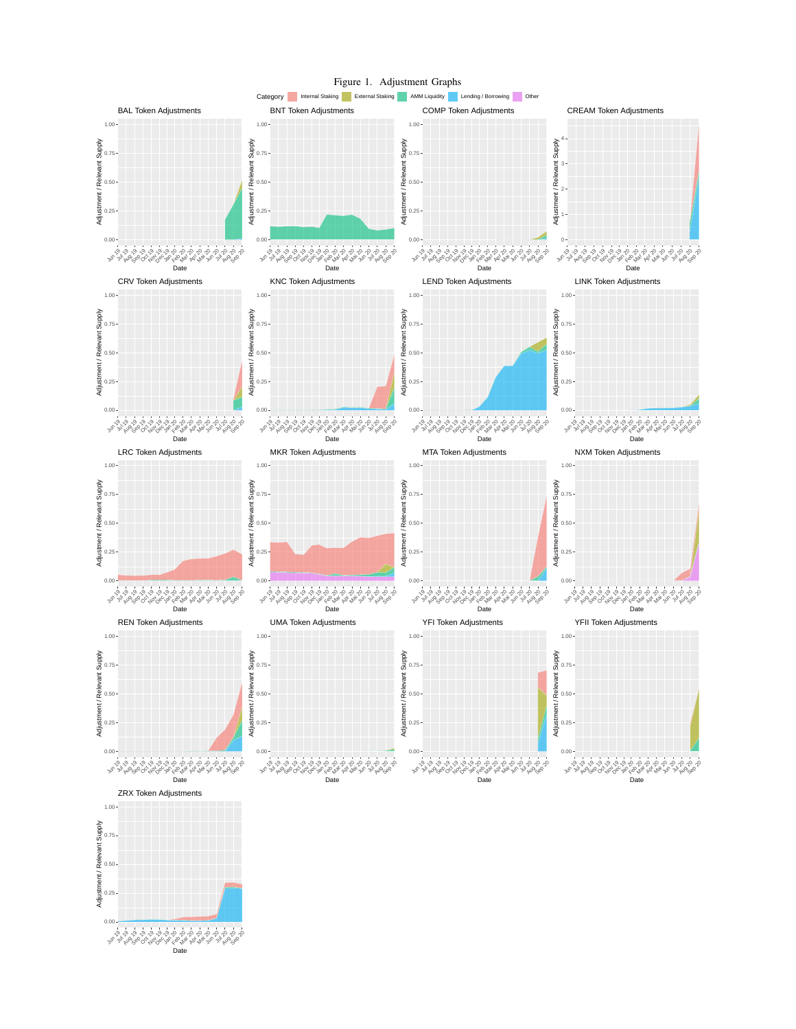<span id="page-5-0"></span>

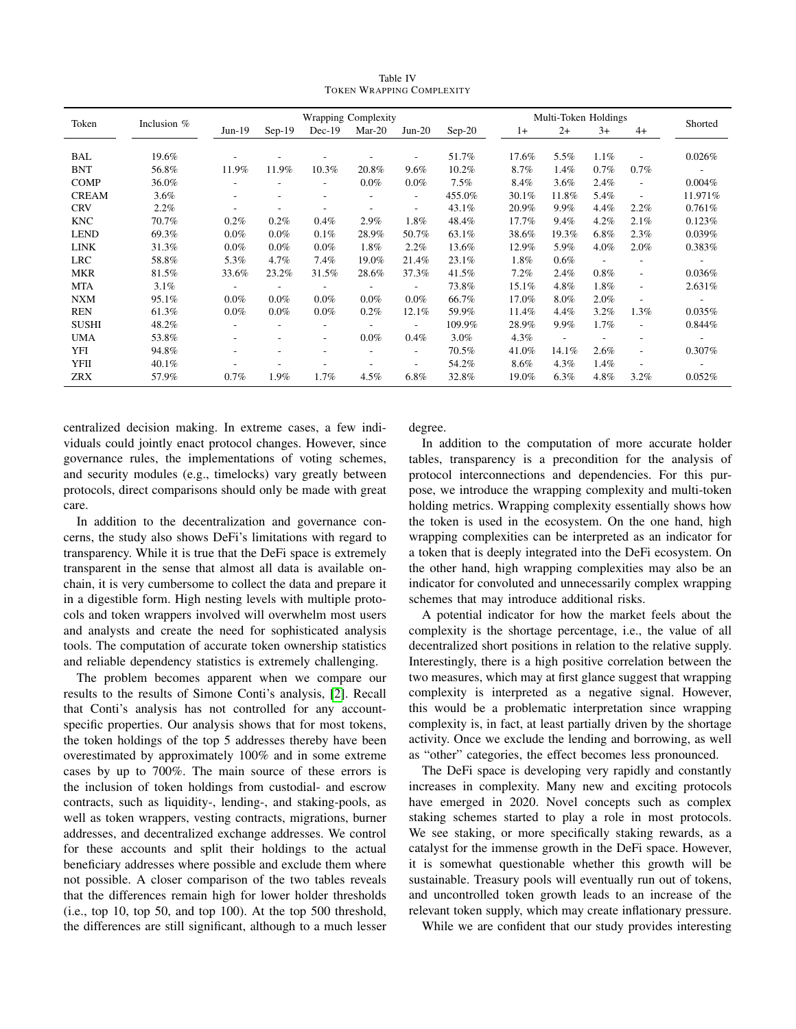Table IV TOKEN WRAPPING COMPLEXITY

<span id="page-6-0"></span>

|              |               | <b>Wrapping Complexity</b> |                          |                          |          |                          | Multi-Token Holdings |       |                          |         |                          |                          |
|--------------|---------------|----------------------------|--------------------------|--------------------------|----------|--------------------------|----------------------|-------|--------------------------|---------|--------------------------|--------------------------|
| Token        | Inclusion $%$ | $Jun-19$                   | $Sep-19$                 | $Dec-19$                 | $Mar-20$ | $Jun-20$                 | $Sep-20$             | $1+$  | $2+$                     | $3+$    | $4+$                     | Shorted                  |
|              |               |                            |                          |                          |          |                          |                      |       |                          |         |                          |                          |
| <b>BAL</b>   | 19.6%         |                            |                          |                          |          |                          | 51.7%                | 17.6% | 5.5%                     | $1.1\%$ |                          | 0.026%                   |
| <b>BNT</b>   | 56.8%         | 11.9%                      | 11.9%                    | 10.3%                    | 20.8%    | 9.6%                     | 10.2%                | 8.7%  | 1.4%                     | 0.7%    | $0.7\%$                  | $\overline{\phantom{a}}$ |
| <b>COMP</b>  | 36.0%         |                            |                          |                          | $0.0\%$  | $0.0\%$                  | 7.5%                 | 8.4%  | 3.6%                     | 2.4%    | ٠                        | $0.004\%$                |
| <b>CREAM</b> | 3.6%          |                            |                          |                          |          | $\sim$                   | 455.0%               | 30.1% | 11.8%                    | 5.4%    |                          | 11.971%                  |
| <b>CRV</b>   | 2.2%          |                            |                          |                          |          |                          | 43.1%                | 20.9% | 9.9%                     | 4.4%    | 2.2%                     | 0.761%                   |
| <b>KNC</b>   | 70.7%         | $0.2\%$                    | $0.2\%$                  | $0.4\%$                  | 2.9%     | 1.8%                     | 48.4%                | 17.7% | 9.4%                     | 4.2%    | 2.1%                     | 0.123%                   |
| <b>LEND</b>  | 69.3%         | $0.0\%$                    | $0.0\%$                  | 0.1%                     | 28.9%    | 50.7%                    | 63.1%                | 38.6% | 19.3%                    | $6.8\%$ | 2.3%                     | 0.039%                   |
| <b>LINK</b>  | 31.3%         | $0.0\%$                    | $0.0\%$                  | $0.0\%$                  | 1.8%     | 2.2%                     | 13.6%                | 12.9% | 5.9%                     | $4.0\%$ | 2.0%                     | 0.383%                   |
| <b>LRC</b>   | 58.8%         | 5.3%                       | $4.7\%$                  | 7.4%                     | 19.0%    | 21.4%                    | 23.1%                | 1.8%  | 0.6%                     | ٠       |                          | $\sim$                   |
| <b>MKR</b>   | 81.5%         | 33.6%                      | 23.2%                    | 31.5%                    | 28.6%    | 37.3%                    | 41.5%                | 7.2%  | 2.4%                     | 0.8%    | ٠                        | 0.036%                   |
| <b>MTA</b>   | 3.1%          | $\overline{\phantom{a}}$   | $\overline{\phantom{a}}$ | $\overline{\phantom{a}}$ |          | $\sim$                   | 73.8%                | 15.1% | 4.8%                     | 1.8%    | $\overline{\phantom{a}}$ | 2.631%                   |
| <b>NXM</b>   | 95.1%         | $0.0\%$                    | $0.0\%$                  | $0.0\%$                  | $0.0\%$  | $0.0\%$                  | 66.7%                | 17.0% | 8.0%                     | 2.0%    |                          | $\overline{\phantom{a}}$ |
| <b>REN</b>   | 61.3%         | $0.0\%$                    | $0.0\%$                  | $0.0\%$                  | 0.2%     | 12.1%                    | 59.9%                | 11.4% | 4.4%                     | 3.2%    | $1.3\%$                  | 0.035%                   |
| <b>SUSHI</b> | 48.2%         | $\overline{\phantom{0}}$   | ٠                        | ٠                        |          | $\overline{\phantom{a}}$ | 109.9%               | 28.9% | 9.9%                     | 1.7%    | $\overline{\phantom{a}}$ | 0.844%                   |
| <b>UMA</b>   | 53.8%         | $\overline{\phantom{a}}$   | $\overline{\phantom{a}}$ | ٠                        | $0.0\%$  | 0.4%                     | $3.0\%$              | 4.3%  | $\overline{\phantom{a}}$ |         |                          | $\sim$                   |
| YFI          | 94.8%         |                            |                          |                          |          | $\overline{\phantom{a}}$ | 70.5%                | 41.0% | 14.1%                    | 2.6%    | ٠                        | 0.307%                   |
| YFII         | 40.1%         |                            |                          |                          |          |                          | 54.2%                | 8.6%  | 4.3%                     | 1.4%    |                          |                          |
| <b>ZRX</b>   | 57.9%         | $0.7\%$                    | 1.9%                     | $1.7\%$                  | $4.5\%$  | 6.8%                     | 32.8%                | 19.0% | 6.3%                     | 4.8%    | 3.2%                     | 0.052%                   |

centralized decision making. In extreme cases, a few individuals could jointly enact protocol changes. However, since governance rules, the implementations of voting schemes, and security modules (e.g., timelocks) vary greatly between protocols, direct comparisons should only be made with great care.

In addition to the decentralization and governance concerns, the study also shows DeFi's limitations with regard to transparency. While it is true that the DeFi space is extremely transparent in the sense that almost all data is available onchain, it is very cumbersome to collect the data and prepare it in a digestible form. High nesting levels with multiple protocols and token wrappers involved will overwhelm most users and analysts and create the need for sophisticated analysis tools. The computation of accurate token ownership statistics and reliable dependency statistics is extremely challenging.

The problem becomes apparent when we compare our results to the results of Simone Conti's analysis, [\[2\]](#page-7-1). Recall that Conti's analysis has not controlled for any accountspecific properties. Our analysis shows that for most tokens, the token holdings of the top 5 addresses thereby have been overestimated by approximately 100% and in some extreme cases by up to 700%. The main source of these errors is the inclusion of token holdings from custodial- and escrow contracts, such as liquidity-, lending-, and staking-pools, as well as token wrappers, vesting contracts, migrations, burner addresses, and decentralized exchange addresses. We control for these accounts and split their holdings to the actual beneficiary addresses where possible and exclude them where not possible. A closer comparison of the two tables reveals that the differences remain high for lower holder thresholds (i.e., top 10, top 50, and top 100). At the top 500 threshold, the differences are still significant, although to a much lesser degree.

In addition to the computation of more accurate holder tables, transparency is a precondition for the analysis of protocol interconnections and dependencies. For this purpose, we introduce the wrapping complexity and multi-token holding metrics. Wrapping complexity essentially shows how the token is used in the ecosystem. On the one hand, high wrapping complexities can be interpreted as an indicator for a token that is deeply integrated into the DeFi ecosystem. On the other hand, high wrapping complexities may also be an indicator for convoluted and unnecessarily complex wrapping schemes that may introduce additional risks.

A potential indicator for how the market feels about the complexity is the shortage percentage, i.e., the value of all decentralized short positions in relation to the relative supply. Interestingly, there is a high positive correlation between the two measures, which may at first glance suggest that wrapping complexity is interpreted as a negative signal. However, this would be a problematic interpretation since wrapping complexity is, in fact, at least partially driven by the shortage activity. Once we exclude the lending and borrowing, as well as "other" categories, the effect becomes less pronounced.

The DeFi space is developing very rapidly and constantly increases in complexity. Many new and exciting protocols have emerged in 2020. Novel concepts such as complex staking schemes started to play a role in most protocols. We see staking, or more specifically staking rewards, as a catalyst for the immense growth in the DeFi space. However, it is somewhat questionable whether this growth will be sustainable. Treasury pools will eventually run out of tokens, and uncontrolled token growth leads to an increase of the relevant token supply, which may create inflationary pressure.

While we are confident that our study provides interesting